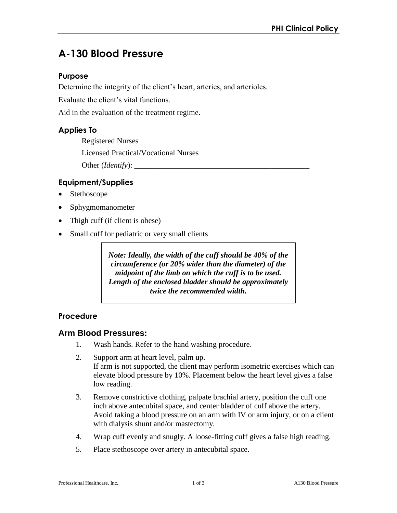# **A-130 Blood Pressure**

#### **Purpose**

Determine the integrity of the client's heart, arteries, and arterioles.

Evaluate the client's vital functions.

Aid in the evaluation of the treatment regime.

#### **Applies To**

Registered Nurses Licensed Practical/Vocational Nurses Other (*Identify*): \_\_\_\_\_\_\_\_\_\_\_\_\_\_\_\_\_\_\_\_\_\_\_\_\_\_\_\_\_\_\_\_\_\_\_\_\_\_\_\_\_\_\_\_\_

#### **Equipment/Supplies**

- Stethoscope
- Sphygmomanometer
- Thigh cuff (if client is obese)
- Small cuff for pediatric or very small clients

*Note: Ideally, the width of the cuff should be 40% of the circumference (or 20% wider than the diameter) of the midpoint of the limb on which the cuff is to be used. Length of the enclosed bladder should be approximately twice the recommended width.* 

#### **Procedure**

#### **Arm Blood Pressures:**

- 1. Wash hands. Refer to the hand washing procedure.
- 2. Support arm at heart level, palm up. If arm is not supported, the client may perform isometric exercises which can elevate blood pressure by 10%. Placement below the heart level gives a false low reading.
- 3. Remove constrictive clothing, palpate brachial artery, position the cuff one inch above antecubital space, and center bladder of cuff above the artery. Avoid taking a blood pressure on an arm with IV or arm injury, or on a client with dialysis shunt and/or mastectomy.
- 4. Wrap cuff evenly and snugly. A loose-fitting cuff gives a false high reading.
- 5. Place stethoscope over artery in antecubital space.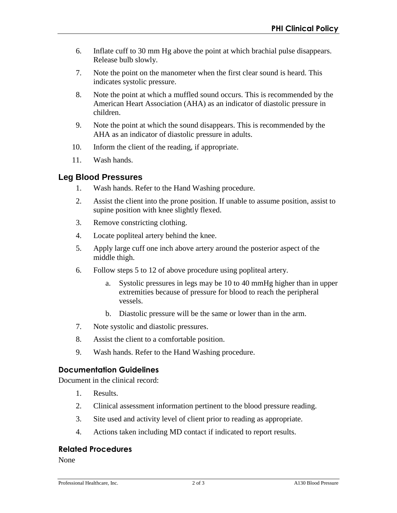- 6. Inflate cuff to 30 mm Hg above the point at which brachial pulse disappears. Release bulb slowly.
- 7. Note the point on the manometer when the first clear sound is heard. This indicates systolic pressure.
- 8. Note the point at which a muffled sound occurs. This is recommended by the American Heart Association (AHA) as an indicator of diastolic pressure in children.
- 9. Note the point at which the sound disappears. This is recommended by the AHA as an indicator of diastolic pressure in adults.
- 10. Inform the client of the reading, if appropriate.
- 11. Wash hands.

#### **Leg Blood Pressures**

- 1. Wash hands. Refer to the Hand Washing procedure.
- 2. Assist the client into the prone position. If unable to assume position, assist to supine position with knee slightly flexed.
- 3. Remove constricting clothing.
- 4. Locate popliteal artery behind the knee.
- 5. Apply large cuff one inch above artery around the posterior aspect of the middle thigh.
- 6. Follow steps 5 to 12 of above procedure using popliteal artery.
	- a. Systolic pressures in legs may be 10 to 40 mmHg higher than in upper extremities because of pressure for blood to reach the peripheral vessels.
	- b. Diastolic pressure will be the same or lower than in the arm.
- 7. Note systolic and diastolic pressures.
- 8. Assist the client to a comfortable position.
- 9. Wash hands. Refer to the Hand Washing procedure.

### **Documentation Guidelines**

Document in the clinical record:

- 1. Results.
- 2. Clinical assessment information pertinent to the blood pressure reading.
- 3. Site used and activity level of client prior to reading as appropriate.
- 4. Actions taken including MD contact if indicated to report results.

#### **Related Procedures**

None